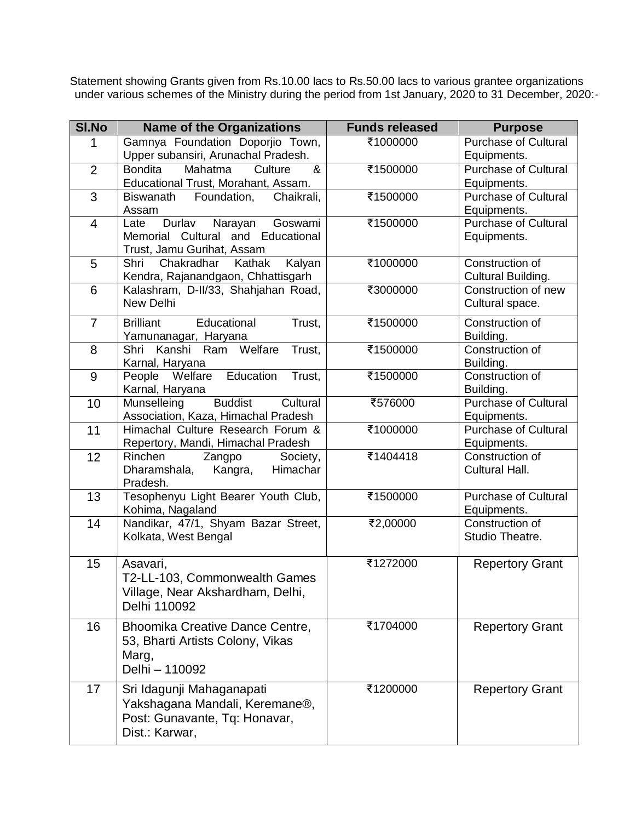Statement showing Grants given from Rs.10.00 lacs to Rs.50.00 lacs to various grantee organizations under various schemes of the Ministry during the period from 1st January, 2020 to 31 December, 2020:-

| <b>SI.No</b>   | <b>Name of the Organizations</b>                                        | <b>Funds released</b> | <b>Purpose</b>                             |
|----------------|-------------------------------------------------------------------------|-----------------------|--------------------------------------------|
| 1              | Gamnya Foundation Doporjio Town,<br>Upper subansiri, Arunachal Pradesh. | ₹1000000              | <b>Purchase of Cultural</b><br>Equipments. |
| $\overline{2}$ | &<br><b>Bondita</b><br>Mahatma<br>Culture                               | ₹1500000              | <b>Purchase of Cultural</b>                |
|                | Educational Trust, Morahant, Assam.                                     |                       | Equipments.                                |
| 3              | Foundation,<br><b>Biswanath</b><br>Chaikrali,                           | ₹1500000              | <b>Purchase of Cultural</b>                |
|                | Assam                                                                   |                       | Equipments.                                |
| $\overline{4}$ | Durlav<br>Narayan<br>Goswami<br>Late                                    | ₹1500000              | <b>Purchase of Cultural</b>                |
|                | Memorial Cultural and Educational<br>Trust, Jamu Gurihat, Assam         |                       | Equipments.                                |
| 5              | Chakradhar<br>Shri<br>Kathak<br>Kalyan                                  | ₹1000000              | Construction of                            |
|                | Kendra, Rajanandgaon, Chhattisgarh                                      |                       | Cultural Building.                         |
| 6              | Kalashram, D-II/33, Shahjahan Road,                                     | ₹3000000              | Construction of new                        |
|                | New Delhi                                                               |                       | Cultural space.                            |
| $\overline{7}$ | <b>Brilliant</b><br>Educational<br>Trust,                               | ₹1500000              | Construction of                            |
|                | Yamunanagar, Haryana                                                    |                       | Building.                                  |
| 8              | Shri Kanshi Ram Welfare<br>Trust,                                       | ₹1500000              | <b>Construction of</b>                     |
|                | Karnal, Haryana                                                         |                       | Building.                                  |
| $9\,$          | People Welfare<br>Education<br>Trust,                                   | ₹1500000              | Construction of                            |
| 10             | Karnal, Haryana<br>Munselleing<br><b>Buddist</b><br>Cultural            | ₹576000               | Building.<br><b>Purchase of Cultural</b>   |
|                | Association, Kaza, Himachal Pradesh                                     |                       | Equipments.                                |
| 11             | Himachal Culture Research Forum &                                       | ₹1000000              | <b>Purchase of Cultural</b>                |
|                | Repertory, Mandi, Himachal Pradesh                                      |                       | Equipments.                                |
| 12             | Rinchen<br>Zangpo<br>Society,                                           | ₹1404418              | Construction of                            |
|                | Himachar<br>Dharamshala,<br>Kangra,<br>Pradesh.                         |                       | Cultural Hall.                             |
| 13             | Tesophenyu Light Bearer Youth Club,                                     | ₹1500000              | <b>Purchase of Cultural</b>                |
|                | Kohima, Nagaland                                                        |                       | Equipments.                                |
| 14             | Nandikar, 47/1, Shyam Bazar Street,                                     | ₹2,00000              | Construction of                            |
|                | Kolkata, West Bengal                                                    |                       | Studio Theatre.                            |
|                |                                                                         |                       |                                            |
| 15             | Asavari,                                                                | ₹1272000              | <b>Repertory Grant</b>                     |
|                | T2-LL-103, Commonwealth Games                                           |                       |                                            |
|                | Village, Near Akshardham, Delhi,<br>Delhi 110092                        |                       |                                            |
|                |                                                                         |                       |                                            |
| 16             | Bhoomika Creative Dance Centre,                                         | ₹1704000              | <b>Repertory Grant</b>                     |
|                | 53, Bharti Artists Colony, Vikas                                        |                       |                                            |
|                | Marg,                                                                   |                       |                                            |
|                | Delhi - 110092                                                          |                       |                                            |
| 17             | Sri Idagunji Mahaganapati                                               | ₹1200000              | <b>Repertory Grant</b>                     |
|                | Yakshagana Mandali, Keremane®,                                          |                       |                                            |
|                | Post: Gunavante, Tq: Honavar,                                           |                       |                                            |
|                | Dist.: Karwar,                                                          |                       |                                            |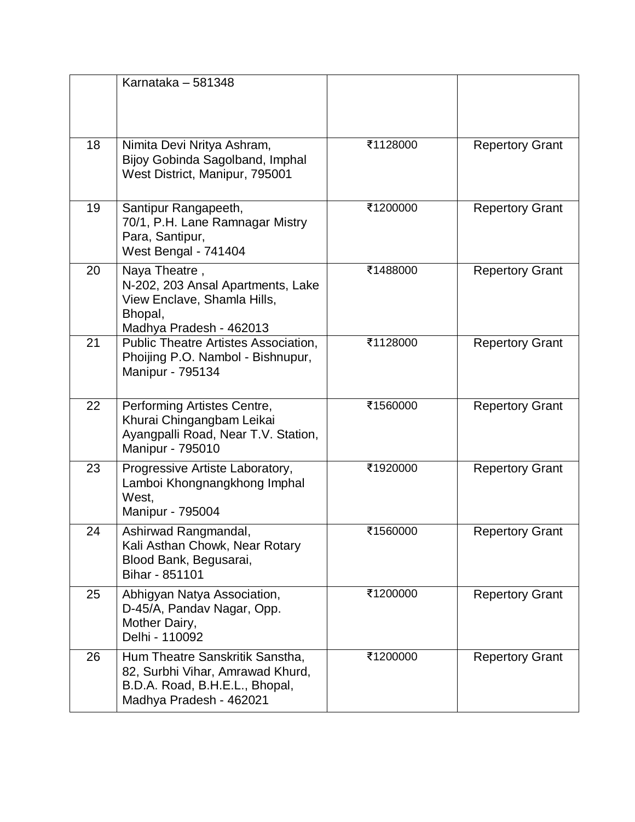|    | Karnataka - 581348                                                                                                               |          |                        |
|----|----------------------------------------------------------------------------------------------------------------------------------|----------|------------------------|
| 18 | Nimita Devi Nritya Ashram,<br>Bijoy Gobinda Sagolband, Imphal<br>West District, Manipur, 795001                                  | ₹1128000 | <b>Repertory Grant</b> |
| 19 | Santipur Rangapeeth,<br>70/1, P.H. Lane Ramnagar Mistry<br>Para, Santipur,<br>West Bengal - 741404                               | ₹1200000 | <b>Repertory Grant</b> |
| 20 | Naya Theatre,<br>N-202, 203 Ansal Apartments, Lake<br>View Enclave, Shamla Hills,<br>Bhopal,<br>Madhya Pradesh - 462013          | ₹1488000 | <b>Repertory Grant</b> |
| 21 | <b>Public Theatre Artistes Association,</b><br>Phoijing P.O. Nambol - Bishnupur,<br>Manipur - 795134                             | ₹1128000 | <b>Repertory Grant</b> |
| 22 | Performing Artistes Centre,<br>Khurai Chingangbam Leikai<br>Ayangpalli Road, Near T.V. Station,<br>Manipur - 795010              | ₹1560000 | <b>Repertory Grant</b> |
| 23 | Progressive Artiste Laboratory,<br>Lamboi Khongnangkhong Imphal<br>West,<br>Manipur - 795004                                     | ₹1920000 | <b>Repertory Grant</b> |
| 24 | Ashirwad Rangmandal,<br>Kali Asthan Chowk, Near Rotary<br>Blood Bank, Begusarai,<br>Bihar - 851101                               | ₹1560000 | <b>Repertory Grant</b> |
| 25 | Abhigyan Natya Association,<br>D-45/A, Pandav Nagar, Opp.<br>Mother Dairy,<br>Delhi - 110092                                     | ₹1200000 | <b>Repertory Grant</b> |
| 26 | Hum Theatre Sanskritik Sanstha,<br>82, Surbhi Vihar, Amrawad Khurd,<br>B.D.A. Road, B.H.E.L., Bhopal,<br>Madhya Pradesh - 462021 | ₹1200000 | <b>Repertory Grant</b> |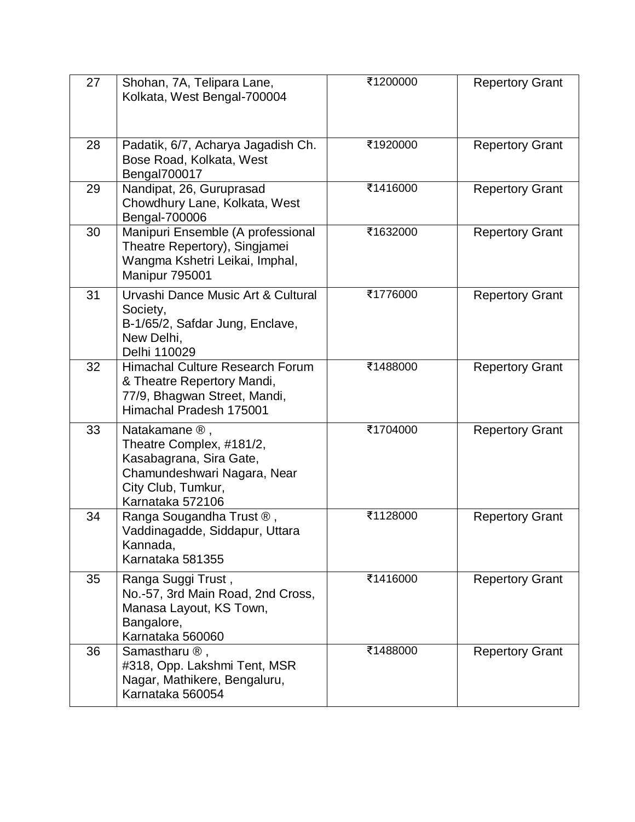| 27 | Shohan, 7A, Telipara Lane,<br>Kolkata, West Bengal-700004                                                                                                  | ₹1200000 | <b>Repertory Grant</b> |
|----|------------------------------------------------------------------------------------------------------------------------------------------------------------|----------|------------------------|
| 28 | Padatik, 6/7, Acharya Jagadish Ch.<br>Bose Road, Kolkata, West<br>Bengal700017                                                                             | ₹1920000 | <b>Repertory Grant</b> |
| 29 | Nandipat, 26, Guruprasad<br>Chowdhury Lane, Kolkata, West<br>Bengal-700006                                                                                 | ₹1416000 | <b>Repertory Grant</b> |
| 30 | Manipuri Ensemble (A professional<br>Theatre Repertory), Singjamei<br>Wangma Kshetri Leikai, Imphal,<br>Manipur 795001                                     | ₹1632000 | <b>Repertory Grant</b> |
| 31 | Urvashi Dance Music Art & Cultural<br>Society,<br>B-1/65/2, Safdar Jung, Enclave,<br>New Delhi,<br>Delhi 110029                                            | ₹1776000 | <b>Repertory Grant</b> |
| 32 | Himachal Culture Research Forum<br>& Theatre Repertory Mandi,<br>77/9, Bhagwan Street, Mandi,<br>Himachal Pradesh 175001                                   | ₹1488000 | <b>Repertory Grant</b> |
| 33 | Natakamane $\mathcal{D}$ ,<br>Theatre Complex, #181/2,<br>Kasabagrana, Sira Gate,<br>Chamundeshwari Nagara, Near<br>City Club, Tumkur,<br>Karnataka 572106 | ₹1704000 | <b>Repertory Grant</b> |
| 34 | Ranga Sougandha Trust ®,<br>Vaddinagadde, Siddapur, Uttara<br>Kannada,<br>Karnataka 581355                                                                 | ₹1128000 | <b>Repertory Grant</b> |
| 35 | Ranga Suggi Trust,<br>No.-57, 3rd Main Road, 2nd Cross,<br>Manasa Layout, KS Town,<br>Bangalore,<br>Karnataka 560060                                       | ₹1416000 | <b>Repertory Grant</b> |
| 36 | Samastharu $\mathcal{D}$ ,<br>#318, Opp. Lakshmi Tent, MSR<br>Nagar, Mathikere, Bengaluru,<br>Karnataka 560054                                             | ₹1488000 | <b>Repertory Grant</b> |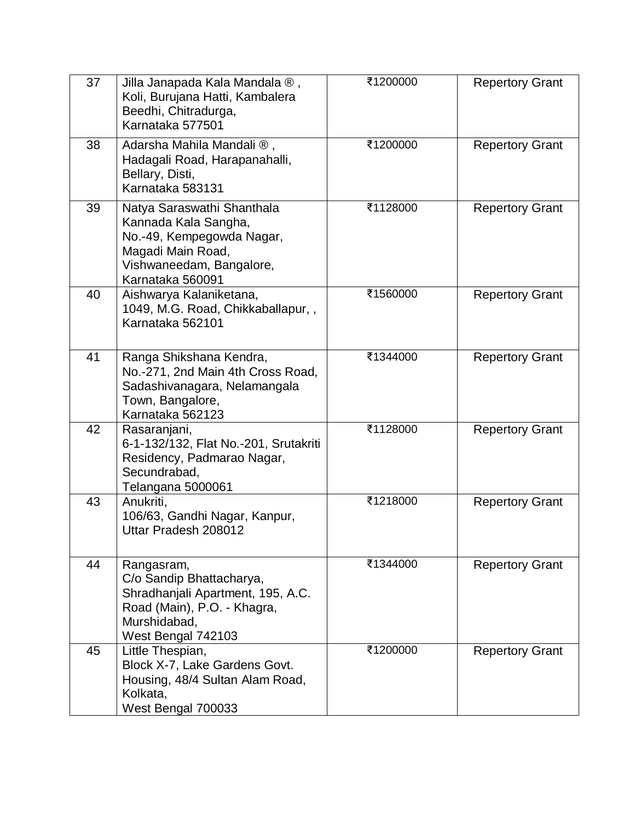| 37 | Jilla Janapada Kala Mandala ®,<br>Koli, Burujana Hatti, Kambalera<br>Beedhi, Chitradurga,<br>Karnataka 577501                                        | ₹1200000 | <b>Repertory Grant</b> |
|----|------------------------------------------------------------------------------------------------------------------------------------------------------|----------|------------------------|
| 38 | Adarsha Mahila Mandali ®,<br>Hadagali Road, Harapanahalli,<br>Bellary, Disti,<br>Karnataka 583131                                                    | ₹1200000 | <b>Repertory Grant</b> |
| 39 | Natya Saraswathi Shanthala<br>Kannada Kala Sangha,<br>No.-49, Kempegowda Nagar,<br>Magadi Main Road,<br>Vishwaneedam, Bangalore,<br>Karnataka 560091 | ₹1128000 | <b>Repertory Grant</b> |
| 40 | Aishwarya Kalaniketana,<br>1049, M.G. Road, Chikkaballapur,,<br>Karnataka 562101                                                                     | ₹1560000 | <b>Repertory Grant</b> |
| 41 | Ranga Shikshana Kendra,<br>No.-271, 2nd Main 4th Cross Road,<br>Sadashivanagara, Nelamangala<br>Town, Bangalore,<br>Karnataka 562123                 | ₹1344000 | <b>Repertory Grant</b> |
| 42 | Rasaranjani,<br>6-1-132/132, Flat No.-201, Srutakriti<br>Residency, Padmarao Nagar,<br>Secundrabad,<br>Telangana 5000061                             | ₹1128000 | <b>Repertory Grant</b> |
| 43 | Anukriti,<br>106/63, Gandhi Nagar, Kanpur,<br>Uttar Pradesh 208012                                                                                   | ₹1218000 | <b>Repertory Grant</b> |
| 44 | Rangasram,<br>C/o Sandip Bhattacharya,<br>Shradhanjali Apartment, 195, A.C.<br>Road (Main), P.O. - Khagra,<br>Murshidabad,<br>West Bengal 742103     | ₹1344000 | <b>Repertory Grant</b> |
| 45 | Little Thespian,<br>Block X-7, Lake Gardens Govt.<br>Housing, 48/4 Sultan Alam Road,<br>Kolkata,<br>West Bengal 700033                               | ₹1200000 | <b>Repertory Grant</b> |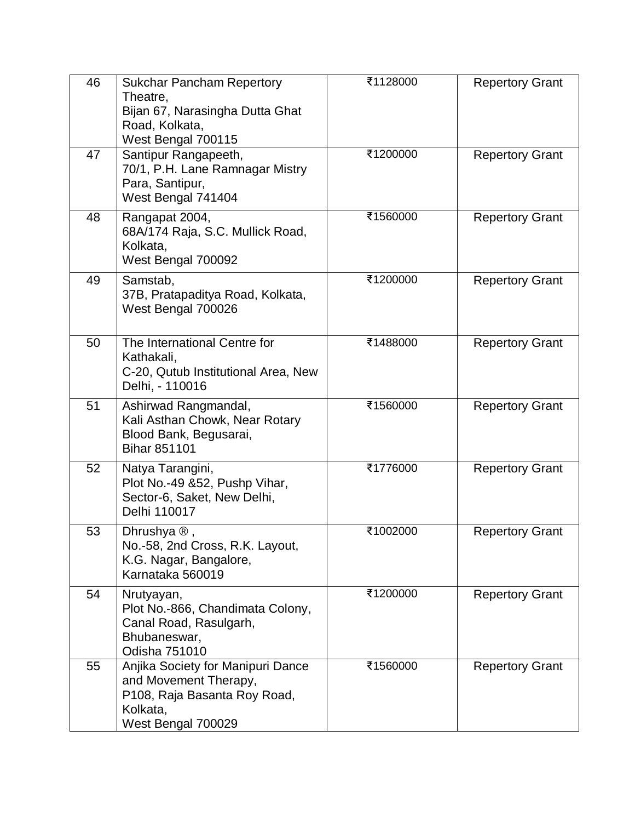| 46 | <b>Sukchar Pancham Repertory</b><br>Theatre,<br>Bijan 67, Narasingha Dutta Ghat<br>Road, Kolkata,<br>West Bengal 700115      | ₹1128000 | <b>Repertory Grant</b> |
|----|------------------------------------------------------------------------------------------------------------------------------|----------|------------------------|
| 47 | Santipur Rangapeeth,<br>70/1, P.H. Lane Ramnagar Mistry<br>Para, Santipur,<br>West Bengal 741404                             | ₹1200000 | <b>Repertory Grant</b> |
| 48 | Rangapat 2004,<br>68A/174 Raja, S.C. Mullick Road,<br>Kolkata,<br>West Bengal 700092                                         | ₹1560000 | <b>Repertory Grant</b> |
| 49 | Samstab,<br>37B, Pratapaditya Road, Kolkata,<br>West Bengal 700026                                                           | ₹1200000 | <b>Repertory Grant</b> |
| 50 | The International Centre for<br>Kathakali,<br>C-20, Qutub Institutional Area, New<br>Delhi, - 110016                         | ₹1488000 | <b>Repertory Grant</b> |
| 51 | Ashirwad Rangmandal,<br>Kali Asthan Chowk, Near Rotary<br>Blood Bank, Begusarai,<br><b>Bihar 851101</b>                      | ₹1560000 | <b>Repertory Grant</b> |
| 52 | Natya Tarangini,<br>Plot No.-49 &52, Pushp Vihar,<br>Sector-6, Saket, New Delhi,<br>Delhi 110017                             | ₹1776000 | <b>Repertory Grant</b> |
| 53 | Dhrushya $\mathcal{D}$ ,<br>No.-58, 2nd Cross, R.K. Layout,<br>K.G. Nagar, Bangalore,<br>Karnataka 560019                    | ₹1002000 | <b>Repertory Grant</b> |
| 54 | Nrutyayan,<br>Plot No.-866, Chandimata Colony,<br>Canal Road, Rasulgarh,<br>Bhubaneswar,<br>Odisha 751010                    | ₹1200000 | <b>Repertory Grant</b> |
| 55 | Anjika Society for Manipuri Dance<br>and Movement Therapy,<br>P108, Raja Basanta Roy Road,<br>Kolkata,<br>West Bengal 700029 | ₹1560000 | <b>Repertory Grant</b> |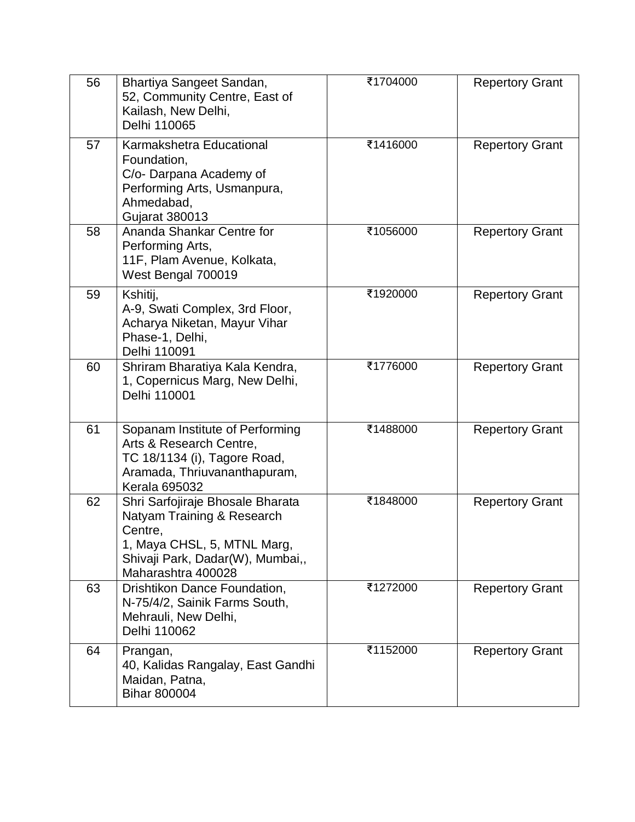| 56 | Bhartiya Sangeet Sandan,<br>52, Community Centre, East of<br>Kailash, New Delhi,<br>Delhi 110065                                                                   | ₹1704000 | <b>Repertory Grant</b> |
|----|--------------------------------------------------------------------------------------------------------------------------------------------------------------------|----------|------------------------|
| 57 | Karmakshetra Educational<br>Foundation,<br>C/o- Darpana Academy of<br>Performing Arts, Usmanpura,<br>Ahmedabad,<br><b>Gujarat 380013</b>                           | ₹1416000 | <b>Repertory Grant</b> |
| 58 | Ananda Shankar Centre for<br>Performing Arts,<br>11F, Plam Avenue, Kolkata,<br>West Bengal 700019                                                                  | ₹1056000 | <b>Repertory Grant</b> |
| 59 | Kshitij,<br>A-9, Swati Complex, 3rd Floor,<br>Acharya Niketan, Mayur Vihar<br>Phase-1, Delhi,<br>Delhi 110091                                                      | ₹1920000 | <b>Repertory Grant</b> |
| 60 | Shriram Bharatiya Kala Kendra,<br>1, Copernicus Marg, New Delhi,<br>Delhi 110001                                                                                   | ₹1776000 | <b>Repertory Grant</b> |
| 61 | Sopanam Institute of Performing<br>Arts & Research Centre,<br>TC 18/1134 (i), Tagore Road,<br>Aramada, Thriuvananthapuram,<br><b>Kerala 695032</b>                 | ₹1488000 | <b>Repertory Grant</b> |
| 62 | Shri Sarfojiraje Bhosale Bharata<br>Natyam Training & Research<br>Centre,<br>1, Maya CHSL, 5, MTNL Marg,<br>Shivaji Park, Dadar(W), Mumbai,,<br>Maharashtra 400028 | ₹1848000 | <b>Repertory Grant</b> |
| 63 | Drishtikon Dance Foundation,<br>N-75/4/2, Sainik Farms South,<br>Mehrauli, New Delhi,<br>Delhi 110062                                                              | ₹1272000 | <b>Repertory Grant</b> |
| 64 | Prangan,<br>40, Kalidas Rangalay, East Gandhi<br>Maidan, Patna,<br><b>Bihar 800004</b>                                                                             | ₹1152000 | <b>Repertory Grant</b> |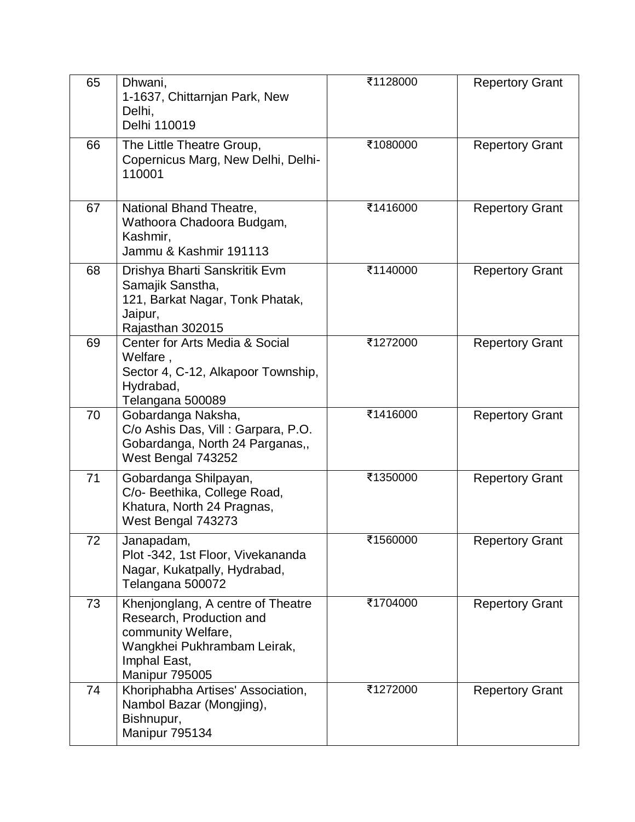| 65 | Dhwani,<br>1-1637, Chittarnjan Park, New<br>Delhi,<br>Delhi 110019                                                                                   | ₹1128000 | <b>Repertory Grant</b> |
|----|------------------------------------------------------------------------------------------------------------------------------------------------------|----------|------------------------|
| 66 | The Little Theatre Group,<br>Copernicus Marg, New Delhi, Delhi-<br>110001                                                                            | ₹1080000 | <b>Repertory Grant</b> |
| 67 | National Bhand Theatre,<br>Wathoora Chadoora Budgam,<br>Kashmir,<br>Jammu & Kashmir 191113                                                           | ₹1416000 | <b>Repertory Grant</b> |
| 68 | Drishya Bharti Sanskritik Evm<br>Samajik Sanstha,<br>121, Barkat Nagar, Tonk Phatak,<br>Jaipur,<br>Rajasthan 302015                                  | ₹1140000 | <b>Repertory Grant</b> |
| 69 | Center for Arts Media & Social<br>Welfare,<br>Sector 4, C-12, Alkapoor Township,<br>Hydrabad,<br>Telangana 500089                                    | ₹1272000 | <b>Repertory Grant</b> |
| 70 | Gobardanga Naksha,<br>C/o Ashis Das, Vill : Garpara, P.O.<br>Gobardanga, North 24 Parganas,,<br>West Bengal 743252                                   | ₹1416000 | <b>Repertory Grant</b> |
| 71 | Gobardanga Shilpayan,<br>C/o- Beethika, College Road,<br>Khatura, North 24 Pragnas,<br>West Bengal 743273                                            | ₹1350000 | <b>Repertory Grant</b> |
| 72 | Janapadam,<br>Plot -342, 1st Floor, Vivekananda<br>Nagar, Kukatpally, Hydrabad,<br>Telangana 500072                                                  | ₹1560000 | <b>Repertory Grant</b> |
| 73 | Khenjonglang, A centre of Theatre<br>Research, Production and<br>community Welfare,<br>Wangkhei Pukhrambam Leirak,<br>Imphal East,<br>Manipur 795005 | ₹1704000 | <b>Repertory Grant</b> |
| 74 | Khoriphabha Artises' Association,<br>Nambol Bazar (Mongjing),<br>Bishnupur,<br>Manipur 795134                                                        | ₹1272000 | <b>Repertory Grant</b> |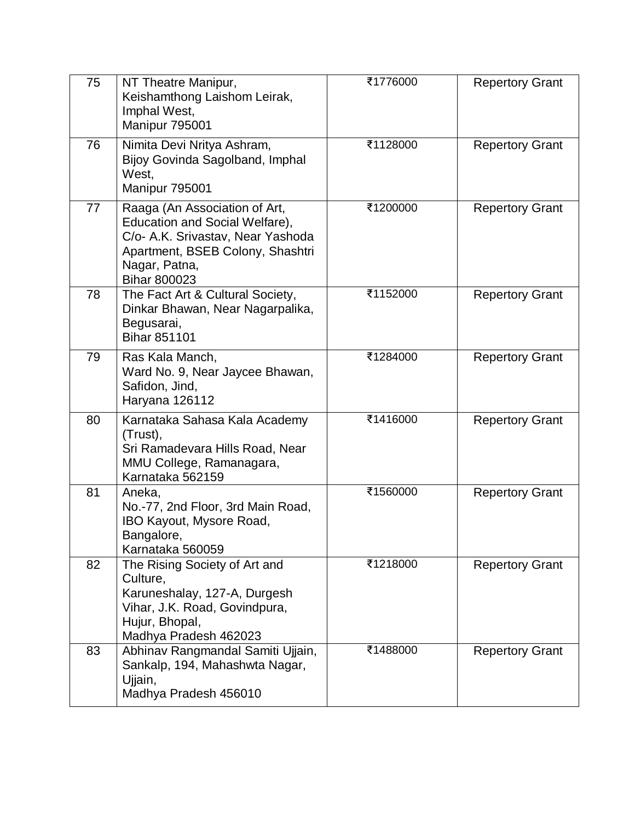| 75 | NT Theatre Manipur,<br>Keishamthong Laishom Leirak,<br>Imphal West,<br>Manipur 795001                                                                                            | ₹1776000 | <b>Repertory Grant</b> |
|----|----------------------------------------------------------------------------------------------------------------------------------------------------------------------------------|----------|------------------------|
| 76 | Nimita Devi Nritya Ashram,<br>Bijoy Govinda Sagolband, Imphal<br>West,<br>Manipur 795001                                                                                         | ₹1128000 | <b>Repertory Grant</b> |
| 77 | Raaga (An Association of Art,<br>Education and Social Welfare),<br>C/o- A.K. Srivastav, Near Yashoda<br>Apartment, BSEB Colony, Shashtri<br>Nagar, Patna,<br><b>Bihar 800023</b> | ₹1200000 | <b>Repertory Grant</b> |
| 78 | The Fact Art & Cultural Society,<br>Dinkar Bhawan, Near Nagarpalika,<br>Begusarai,<br><b>Bihar 851101</b>                                                                        | ₹1152000 | <b>Repertory Grant</b> |
| 79 | Ras Kala Manch,<br>Ward No. 9, Near Jaycee Bhawan,<br>Safidon, Jind,<br>Haryana 126112                                                                                           | ₹1284000 | <b>Repertory Grant</b> |
| 80 | Karnataka Sahasa Kala Academy<br>(Trust),<br>Sri Ramadevara Hills Road, Near<br>MMU College, Ramanagara,<br>Karnataka 562159                                                     | ₹1416000 | <b>Repertory Grant</b> |
| 81 | Aneka,<br>No.-77, 2nd Floor, 3rd Main Road,<br>IBO Kayout, Mysore Road,<br>Bangalore,<br>Karnataka 560059                                                                        | ₹1560000 | <b>Repertory Grant</b> |
| 82 | The Rising Society of Art and<br>Culture,<br>Karuneshalay, 127-A, Durgesh<br>Vihar, J.K. Road, Govindpura,<br>Hujur, Bhopal,<br>Madhya Pradesh 462023                            | ₹1218000 | <b>Repertory Grant</b> |
| 83 | Abhinav Rangmandal Samiti Ujjain,<br>Sankalp, 194, Mahashwta Nagar,<br>Ujjain,<br>Madhya Pradesh 456010                                                                          | ₹1488000 | <b>Repertory Grant</b> |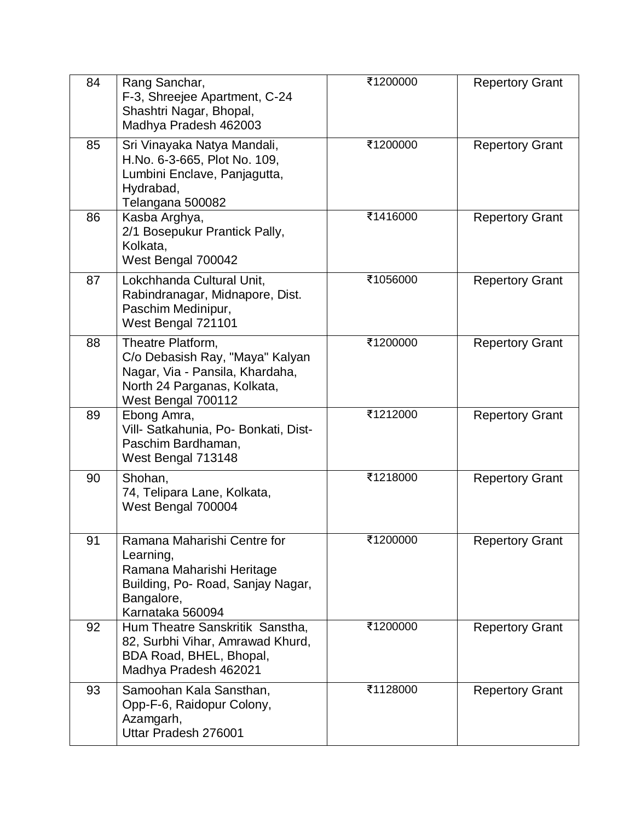| 84 | Rang Sanchar,<br>F-3, Shreejee Apartment, C-24<br>Shashtri Nagar, Bhopal,<br>Madhya Pradesh 462003                                           | ₹1200000 | <b>Repertory Grant</b> |
|----|----------------------------------------------------------------------------------------------------------------------------------------------|----------|------------------------|
| 85 | Sri Vinayaka Natya Mandali,<br>H.No. 6-3-665, Plot No. 109,<br>Lumbini Enclave, Panjagutta,<br>Hydrabad,<br>Telangana 500082                 | ₹1200000 | <b>Repertory Grant</b> |
| 86 | Kasba Arghya,<br>2/1 Bosepukur Prantick Pally,<br>Kolkata,<br>West Bengal 700042                                                             | ₹1416000 | <b>Repertory Grant</b> |
| 87 | Lokchhanda Cultural Unit,<br>Rabindranagar, Midnapore, Dist.<br>Paschim Medinipur,<br>West Bengal 721101                                     | ₹1056000 | <b>Repertory Grant</b> |
| 88 | Theatre Platform,<br>C/o Debasish Ray, "Maya" Kalyan<br>Nagar, Via - Pansila, Khardaha,<br>North 24 Parganas, Kolkata,<br>West Bengal 700112 | ₹1200000 | <b>Repertory Grant</b> |
| 89 | Ebong Amra,<br>Vill- Satkahunia, Po- Bonkati, Dist-<br>Paschim Bardhaman,<br>West Bengal 713148                                              | ₹1212000 | <b>Repertory Grant</b> |
| 90 | Shohan,<br>74, Telipara Lane, Kolkata,<br>West Bengal 700004                                                                                 | ₹1218000 | <b>Repertory Grant</b> |
| 91 | Ramana Maharishi Centre for<br>Learning,<br>Ramana Maharishi Heritage<br>Building, Po- Road, Sanjay Nagar,<br>Bangalore,<br>Karnataka 560094 | ₹1200000 | <b>Repertory Grant</b> |
| 92 | Hum Theatre Sanskritik Sanstha,<br>82, Surbhi Vihar, Amrawad Khurd,<br>BDA Road, BHEL, Bhopal,<br>Madhya Pradesh 462021                      | ₹1200000 | <b>Repertory Grant</b> |
| 93 | Samoohan Kala Sansthan,<br>Opp-F-6, Raidopur Colony,<br>Azamgarh,<br>Uttar Pradesh 276001                                                    | ₹1128000 | <b>Repertory Grant</b> |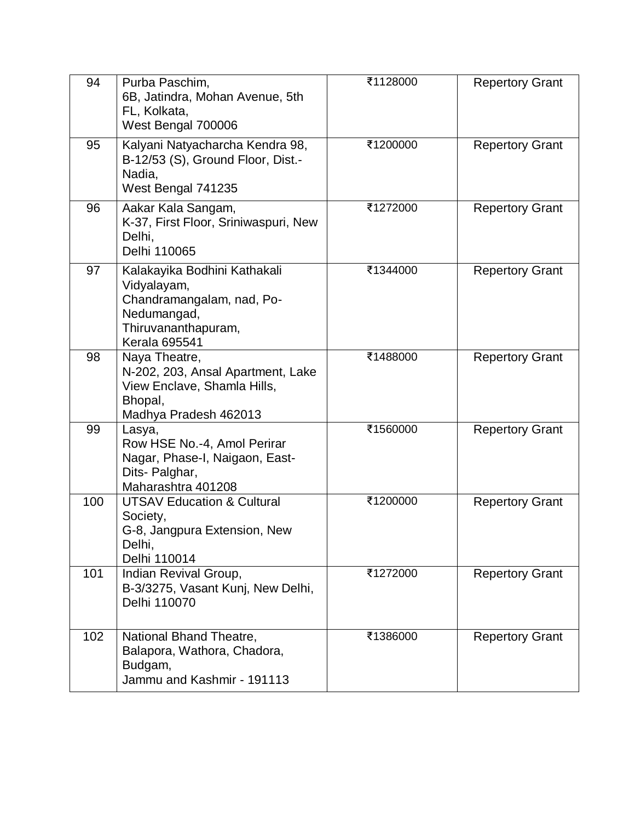| 94  | Purba Paschim,<br>6B, Jatindra, Mohan Avenue, 5th<br>FL, Kolkata,<br>West Bengal 700006                                                | ₹1128000 | <b>Repertory Grant</b> |
|-----|----------------------------------------------------------------------------------------------------------------------------------------|----------|------------------------|
| 95  | Kalyani Natyacharcha Kendra 98,<br>B-12/53 (S), Ground Floor, Dist.-<br>Nadia,<br>West Bengal 741235                                   | ₹1200000 | <b>Repertory Grant</b> |
| 96  | Aakar Kala Sangam,<br>K-37, First Floor, Sriniwaspuri, New<br>Delhi,<br>Delhi 110065                                                   | ₹1272000 | <b>Repertory Grant</b> |
| 97  | Kalakayika Bodhini Kathakali<br>Vidyalayam,<br>Chandramangalam, nad, Po-<br>Nedumangad,<br>Thiruvananthapuram,<br><b>Kerala 695541</b> | ₹1344000 | <b>Repertory Grant</b> |
| 98  | Naya Theatre,<br>N-202, 203, Ansal Apartment, Lake<br>View Enclave, Shamla Hills,<br>Bhopal,<br>Madhya Pradesh 462013                  | ₹1488000 | <b>Repertory Grant</b> |
| 99  | Lasya,<br>Row HSE No.-4, Amol Perirar<br>Nagar, Phase-I, Naigaon, East-<br>Dits- Palghar,<br>Maharashtra 401208                        | ₹1560000 | <b>Repertory Grant</b> |
| 100 | <b>UTSAV Education &amp; Cultural</b><br>Society,<br>G-8, Jangpura Extension, New<br>Delhi,<br>Delhi 110014                            | ₹1200000 | <b>Repertory Grant</b> |
| 101 | Indian Revival Group,<br>B-3/3275, Vasant Kunj, New Delhi,<br>Delhi 110070                                                             | ₹1272000 | <b>Repertory Grant</b> |
| 102 | National Bhand Theatre,<br>Balapora, Wathora, Chadora,<br>Budgam,<br>Jammu and Kashmir - 191113                                        | ₹1386000 | <b>Repertory Grant</b> |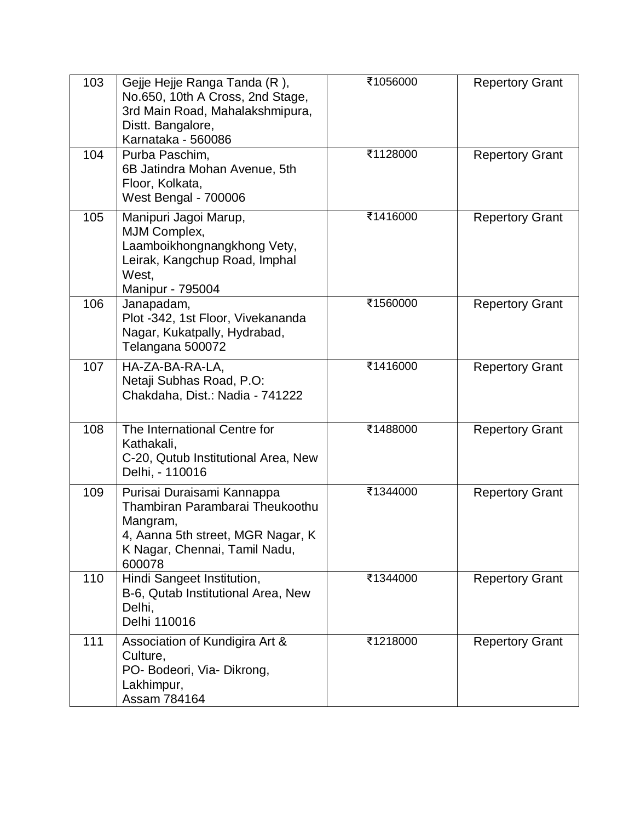| 103 | Gejje Hejje Ranga Tanda (R),<br>No.650, 10th A Cross, 2nd Stage,<br>3rd Main Road, Mahalakshmipura,<br>Distt. Bangalore,<br>Karnataka - 560086            | ₹1056000 | <b>Repertory Grant</b> |
|-----|-----------------------------------------------------------------------------------------------------------------------------------------------------------|----------|------------------------|
| 104 | Purba Paschim,<br>6B Jatindra Mohan Avenue, 5th<br>Floor, Kolkata,<br><b>West Bengal - 700006</b>                                                         | ₹1128000 | <b>Repertory Grant</b> |
| 105 | Manipuri Jagoi Marup,<br>MJM Complex,<br>Laamboikhongnangkhong Vety,<br>Leirak, Kangchup Road, Imphal<br>West.<br>Manipur - 795004                        | ₹1416000 | <b>Repertory Grant</b> |
| 106 | Janapadam,<br>Plot -342, 1st Floor, Vivekananda<br>Nagar, Kukatpally, Hydrabad,<br>Telangana 500072                                                       | ₹1560000 | <b>Repertory Grant</b> |
| 107 | HA-ZA-BA-RA-LA,<br>Netaji Subhas Road, P.O:<br>Chakdaha, Dist.: Nadia - 741222                                                                            | ₹1416000 | <b>Repertory Grant</b> |
| 108 | The International Centre for<br>Kathakali,<br>C-20, Qutub Institutional Area, New<br>Delhi, - 110016                                                      | ₹1488000 | <b>Repertory Grant</b> |
| 109 | Purisai Duraisami Kannappa<br>Thambiran Parambarai Theukoothu<br>Mangram,<br>4. Aanna 5th street, MGR Nagar, K<br>K Nagar, Chennai, Tamil Nadu,<br>600078 | ₹1344000 | <b>Repertory Grant</b> |
| 110 | Hindi Sangeet Institution,<br>B-6, Qutab Institutional Area, New<br>Delhi,<br>Delhi 110016                                                                | ₹1344000 | <b>Repertory Grant</b> |
| 111 | Association of Kundigira Art &<br>Culture,<br>PO- Bodeori, Via- Dikrong,<br>Lakhimpur,<br>Assam 784164                                                    | ₹1218000 | <b>Repertory Grant</b> |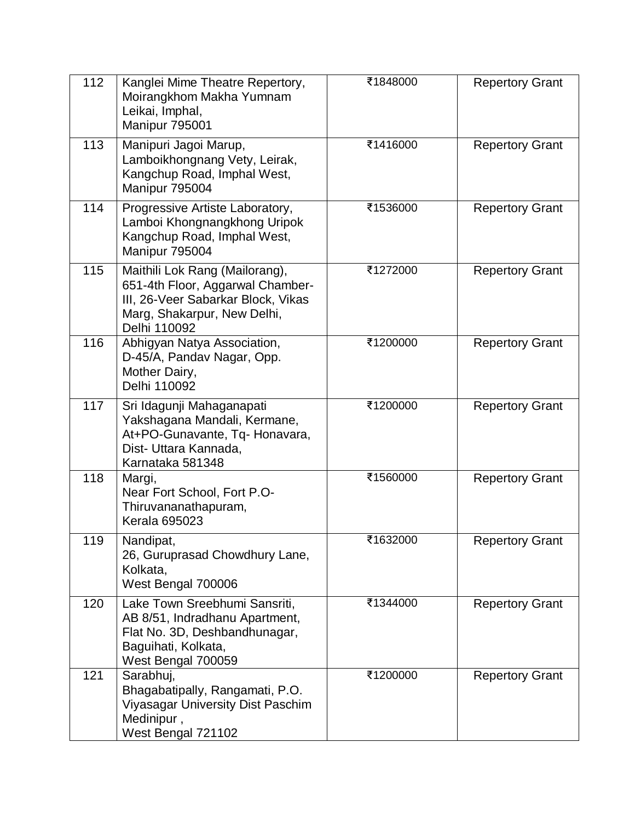| 112 | Kanglei Mime Theatre Repertory,<br>Moirangkhom Makha Yumnam<br>Leikai, Imphal,<br>Manipur 795001                                                        | ₹1848000 | <b>Repertory Grant</b> |
|-----|---------------------------------------------------------------------------------------------------------------------------------------------------------|----------|------------------------|
| 113 | Manipuri Jagoi Marup,<br>Lamboikhongnang Vety, Leirak,<br>Kangchup Road, Imphal West,<br>Manipur 795004                                                 | ₹1416000 | <b>Repertory Grant</b> |
| 114 | Progressive Artiste Laboratory,<br>Lamboi Khongnangkhong Uripok<br>Kangchup Road, Imphal West,<br>Manipur 795004                                        | ₹1536000 | <b>Repertory Grant</b> |
| 115 | Maithili Lok Rang (Mailorang),<br>651-4th Floor, Aggarwal Chamber-<br>III, 26-Veer Sabarkar Block, Vikas<br>Marg, Shakarpur, New Delhi,<br>Delhi 110092 | ₹1272000 | <b>Repertory Grant</b> |
| 116 | Abhigyan Natya Association,<br>D-45/A, Pandav Nagar, Opp.<br>Mother Dairy,<br>Delhi 110092                                                              | ₹1200000 | <b>Repertory Grant</b> |
| 117 | Sri Idagunji Mahaganapati<br>Yakshagana Mandali, Kermane,<br>At+PO-Gunavante, Tq- Honavara,<br>Dist- Uttara Kannada,<br>Karnataka 581348                | ₹1200000 | <b>Repertory Grant</b> |
| 118 | Margi,<br>Near Fort School, Fort P.O-<br>Thiruvananathapuram,<br><b>Kerala 695023</b>                                                                   | ₹1560000 | <b>Repertory Grant</b> |
| 119 | Nandipat,<br>26, Guruprasad Chowdhury Lane,<br>Kolkata,<br>West Bengal 700006                                                                           | ₹1632000 | <b>Repertory Grant</b> |
| 120 | Lake Town Sreebhumi Sansriti,<br>AB 8/51, Indradhanu Apartment,<br>Flat No. 3D, Deshbandhunagar,<br>Baguihati, Kolkata,<br>West Bengal 700059           | ₹1344000 | <b>Repertory Grant</b> |
| 121 | Sarabhuj,<br>Bhagabatipally, Rangamati, P.O.<br>Viyasagar University Dist Paschim<br>Medinipur,<br>West Bengal 721102                                   | ₹1200000 | <b>Repertory Grant</b> |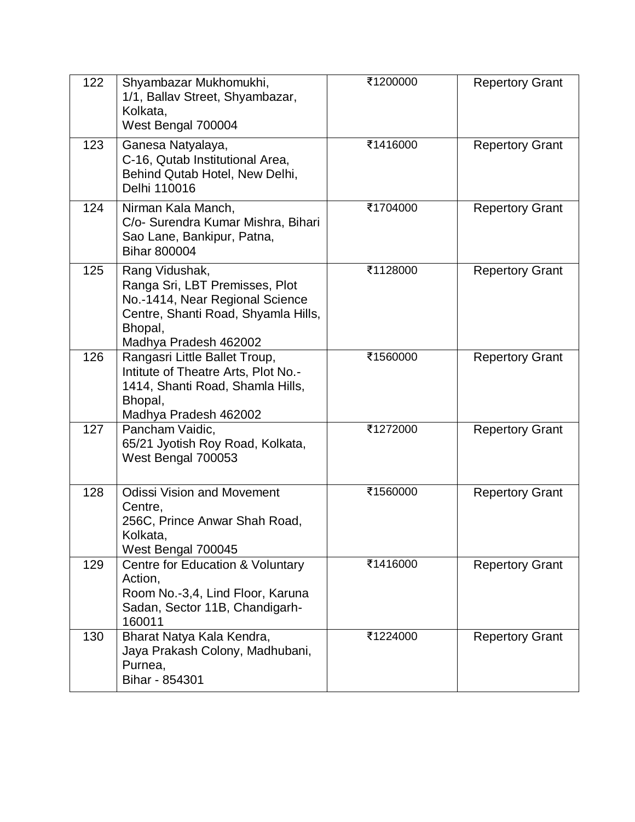| 122 | Shyambazar Mukhomukhi,<br>1/1, Ballav Street, Shyambazar,<br>Kolkata,<br>West Bengal 700004                                                                    | ₹1200000 | <b>Repertory Grant</b> |
|-----|----------------------------------------------------------------------------------------------------------------------------------------------------------------|----------|------------------------|
| 123 | Ganesa Natyalaya,<br>C-16, Qutab Institutional Area,<br>Behind Qutab Hotel, New Delhi,<br>Delhi 110016                                                         | ₹1416000 | <b>Repertory Grant</b> |
| 124 | Nirman Kala Manch,<br>C/o- Surendra Kumar Mishra, Bihari<br>Sao Lane, Bankipur, Patna,<br><b>Bihar 800004</b>                                                  | ₹1704000 | <b>Repertory Grant</b> |
| 125 | Rang Vidushak,<br>Ranga Sri, LBT Premisses, Plot<br>No.-1414, Near Regional Science<br>Centre, Shanti Road, Shyamla Hills,<br>Bhopal,<br>Madhya Pradesh 462002 | ₹1128000 | <b>Repertory Grant</b> |
| 126 | Rangasri Little Ballet Troup,<br>Intitute of Theatre Arts, Plot No.-<br>1414, Shanti Road, Shamla Hills,<br>Bhopal,<br>Madhya Pradesh 462002                   | ₹1560000 | <b>Repertory Grant</b> |
| 127 | Pancham Vaidic,<br>65/21 Jyotish Roy Road, Kolkata,<br>West Bengal 700053                                                                                      | ₹1272000 | <b>Repertory Grant</b> |
| 128 | <b>Odissi Vision and Movement</b><br>Centre,<br>256C, Prince Anwar Shah Road,<br>Kolkata.<br>West Bengal 700045                                                | ₹1560000 | <b>Repertory Grant</b> |
| 129 | Centre for Education & Voluntary<br>Action,<br>Room No.-3,4, Lind Floor, Karuna<br>Sadan, Sector 11B, Chandigarh-<br>160011                                    | ₹1416000 | <b>Repertory Grant</b> |
| 130 | Bharat Natya Kala Kendra,<br>Jaya Prakash Colony, Madhubani,<br>Purnea,<br>Bihar - 854301                                                                      | ₹1224000 | <b>Repertory Grant</b> |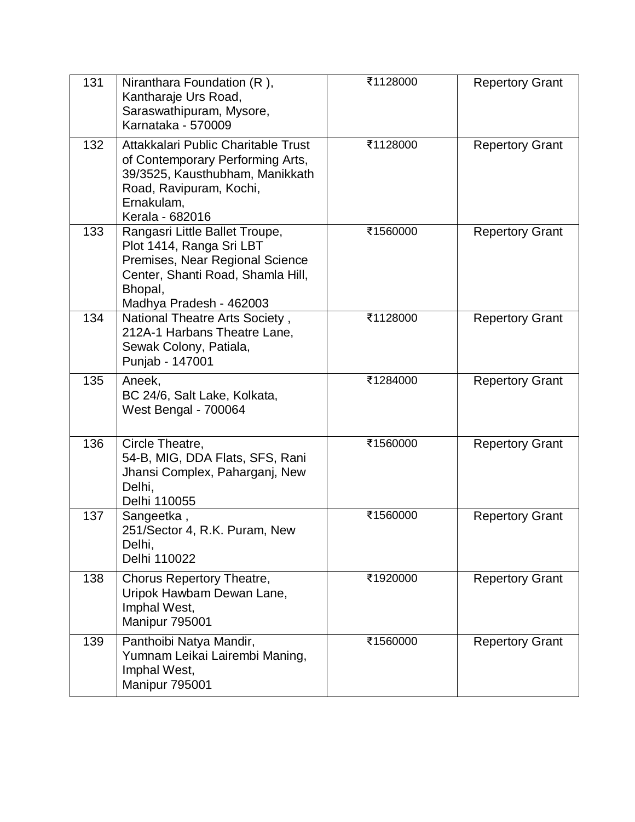| 131 | Niranthara Foundation (R),<br>Kantharaje Urs Road,<br>Saraswathipuram, Mysore,<br>Karnataka - 570009                                                                     | ₹1128000 | <b>Repertory Grant</b> |
|-----|--------------------------------------------------------------------------------------------------------------------------------------------------------------------------|----------|------------------------|
| 132 | Attakkalari Public Charitable Trust<br>of Contemporary Performing Arts,<br>39/3525, Kausthubham, Manikkath<br>Road, Ravipuram, Kochi,<br>Ernakulam,<br>Kerala - 682016   | ₹1128000 | <b>Repertory Grant</b> |
| 133 | Rangasri Little Ballet Troupe,<br>Plot 1414, Ranga Sri LBT<br>Premises, Near Regional Science<br>Center, Shanti Road, Shamla Hill,<br>Bhopal,<br>Madhya Pradesh - 462003 | ₹1560000 | <b>Repertory Grant</b> |
| 134 | National Theatre Arts Society,<br>212A-1 Harbans Theatre Lane,<br>Sewak Colony, Patiala,<br>Punjab - 147001                                                              | ₹1128000 | <b>Repertory Grant</b> |
| 135 | Aneek,<br>BC 24/6, Salt Lake, Kolkata,<br>West Bengal - 700064                                                                                                           | ₹1284000 | <b>Repertory Grant</b> |
| 136 | Circle Theatre,<br>54-B, MIG, DDA Flats, SFS, Rani<br>Jhansi Complex, Paharganj, New<br>Delhi,<br>Delhi 110055                                                           | ₹1560000 | <b>Repertory Grant</b> |
| 137 | Sangeetka,<br>251/Sector 4, R.K. Puram, New<br>Delhi,<br>Delhi 110022                                                                                                    | ₹1560000 | <b>Repertory Grant</b> |
| 138 | Chorus Repertory Theatre,<br>Uripok Hawbam Dewan Lane,<br>Imphal West,<br>Manipur 795001                                                                                 | ₹1920000 | <b>Repertory Grant</b> |
| 139 | Panthoibi Natya Mandir,<br>Yumnam Leikai Lairembi Maning,<br>Imphal West,<br>Manipur 795001                                                                              | ₹1560000 | <b>Repertory Grant</b> |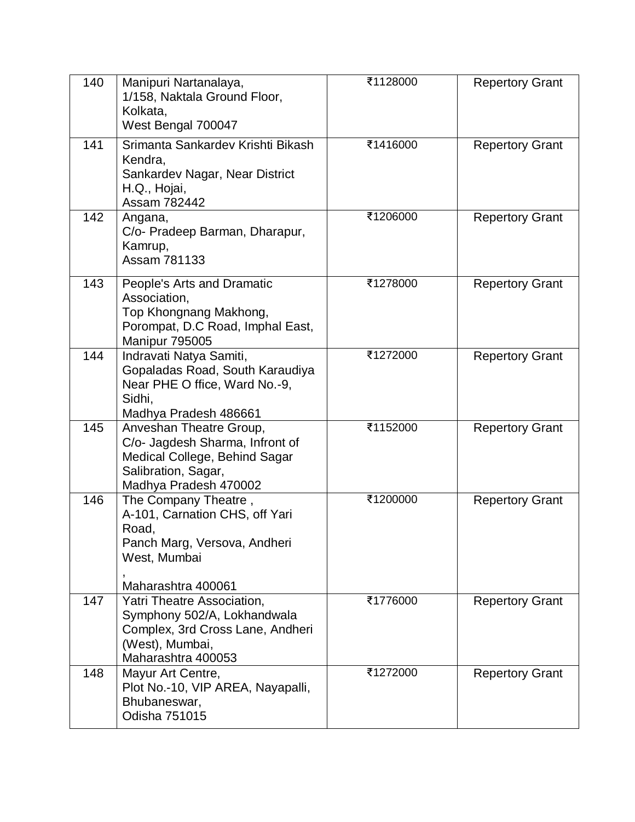| 140 | Manipuri Nartanalaya,<br>1/158, Naktala Ground Floor,<br>Kolkata,<br>West Bengal 700047                                                     | ₹1128000 | <b>Repertory Grant</b> |
|-----|---------------------------------------------------------------------------------------------------------------------------------------------|----------|------------------------|
| 141 | Srimanta Sankardev Krishti Bikash<br>Kendra,<br>Sankardev Nagar, Near District<br>H.Q., Hojai,<br>Assam 782442                              | ₹1416000 | <b>Repertory Grant</b> |
| 142 | Angana,<br>C/o- Pradeep Barman, Dharapur,<br>Kamrup,<br>Assam 781133                                                                        | ₹1206000 | <b>Repertory Grant</b> |
| 143 | People's Arts and Dramatic<br>Association,<br>Top Khongnang Makhong,<br>Porompat, D.C Road, Imphal East,<br>Manipur 795005                  | ₹1278000 | <b>Repertory Grant</b> |
| 144 | Indravati Natya Samiti,<br>Gopaladas Road, South Karaudiya<br>Near PHE O ffice, Ward No.-9,<br>Sidhi,<br>Madhya Pradesh 486661              | ₹1272000 | <b>Repertory Grant</b> |
| 145 | Anveshan Theatre Group,<br>C/o- Jagdesh Sharma, Infront of<br>Medical College, Behind Sagar<br>Salibration, Sagar,<br>Madhya Pradesh 470002 | ₹1152000 | <b>Repertory Grant</b> |
| 146 | The Company Theatre,<br>A-101, Carnation CHS, off Yari<br>Road,<br>Panch Marg, Versova, Andheri<br>West, Mumbai<br>Maharashtra 400061       | ₹1200000 | <b>Repertory Grant</b> |
| 147 | Yatri Theatre Association,<br>Symphony 502/A, Lokhandwala<br>Complex, 3rd Cross Lane, Andheri<br>(West), Mumbai,<br>Maharashtra 400053      | ₹1776000 | <b>Repertory Grant</b> |
| 148 | Mayur Art Centre,<br>Plot No.-10, VIP AREA, Nayapalli,<br>Bhubaneswar,<br>Odisha 751015                                                     | ₹1272000 | <b>Repertory Grant</b> |